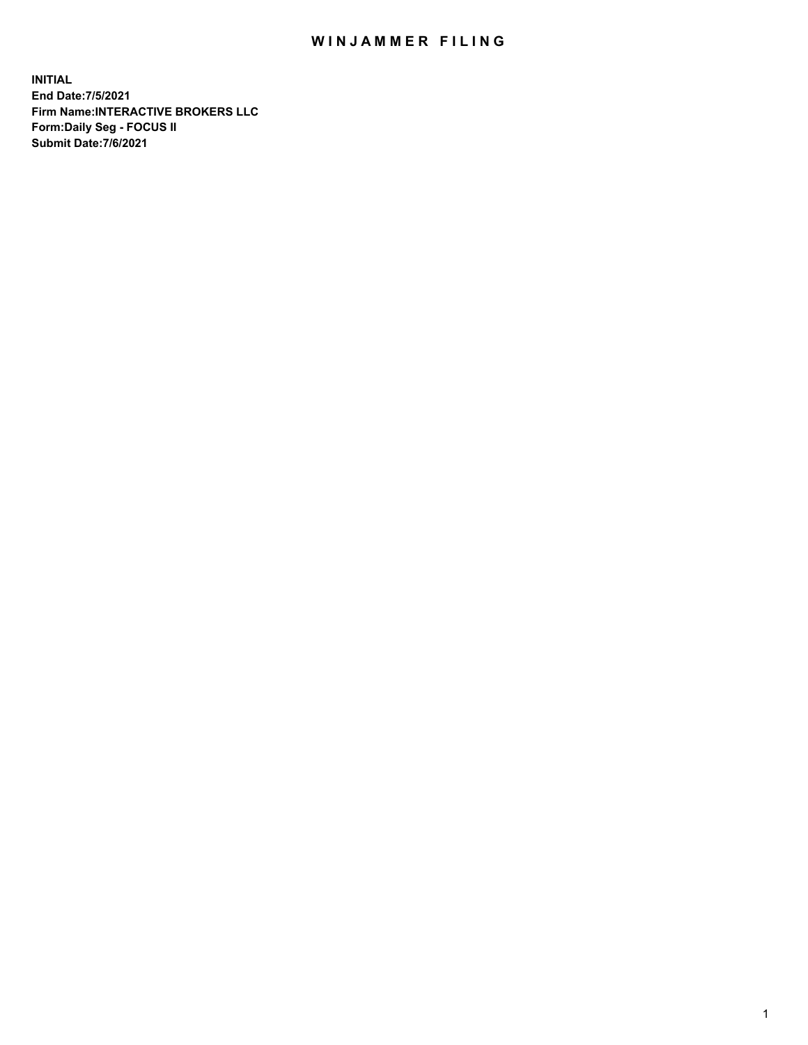## WIN JAMMER FILING

**INITIAL End Date:7/5/2021 Firm Name:INTERACTIVE BROKERS LLC Form:Daily Seg - FOCUS II Submit Date:7/6/2021**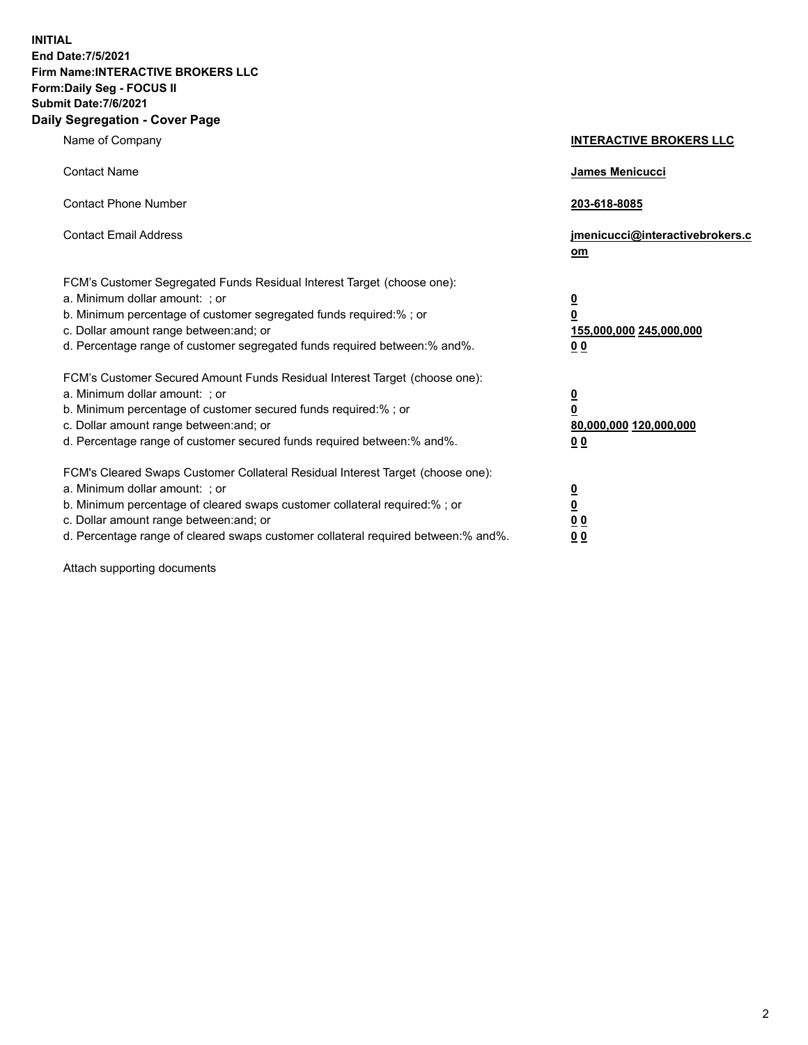**INITIAL End Date:7/5/2021 Firm Name:INTERACTIVE BROKERS LLC Form:Daily Seg - FOCUS II Submit Date:7/6/2021 Daily Segregation - Cover Page**

| Name of Company                                                                                                                                                                                                                                                                                                                | <b>INTERACTIVE BROKERS LLC</b>                                                                  |
|--------------------------------------------------------------------------------------------------------------------------------------------------------------------------------------------------------------------------------------------------------------------------------------------------------------------------------|-------------------------------------------------------------------------------------------------|
| <b>Contact Name</b>                                                                                                                                                                                                                                                                                                            | James Menicucci                                                                                 |
| <b>Contact Phone Number</b>                                                                                                                                                                                                                                                                                                    | 203-618-8085                                                                                    |
| <b>Contact Email Address</b>                                                                                                                                                                                                                                                                                                   | jmenicucci@interactivebrokers.c<br>om                                                           |
| FCM's Customer Segregated Funds Residual Interest Target (choose one):<br>a. Minimum dollar amount: ; or<br>b. Minimum percentage of customer segregated funds required:%; or<br>c. Dollar amount range between: and; or<br>d. Percentage range of customer segregated funds required between:% and%.                          | $\overline{\mathbf{0}}$<br>$\overline{\mathbf{0}}$<br>155,000,000 245,000,000<br>0 <sub>0</sub> |
| FCM's Customer Secured Amount Funds Residual Interest Target (choose one):<br>a. Minimum dollar amount: ; or<br>b. Minimum percentage of customer secured funds required:% ; or<br>c. Dollar amount range between: and; or<br>d. Percentage range of customer secured funds required between:% and%.                           | $\frac{0}{0}$<br>80,000,000 120,000,000<br>0 <sub>0</sub>                                       |
| FCM's Cleared Swaps Customer Collateral Residual Interest Target (choose one):<br>a. Minimum dollar amount: ; or<br>b. Minimum percentage of cleared swaps customer collateral required:% ; or<br>c. Dollar amount range between: and; or<br>d. Percentage range of cleared swaps customer collateral required between:% and%. | $\frac{0}{0}$<br>0 <sub>0</sub><br>0 <sub>0</sub>                                               |

Attach supporting documents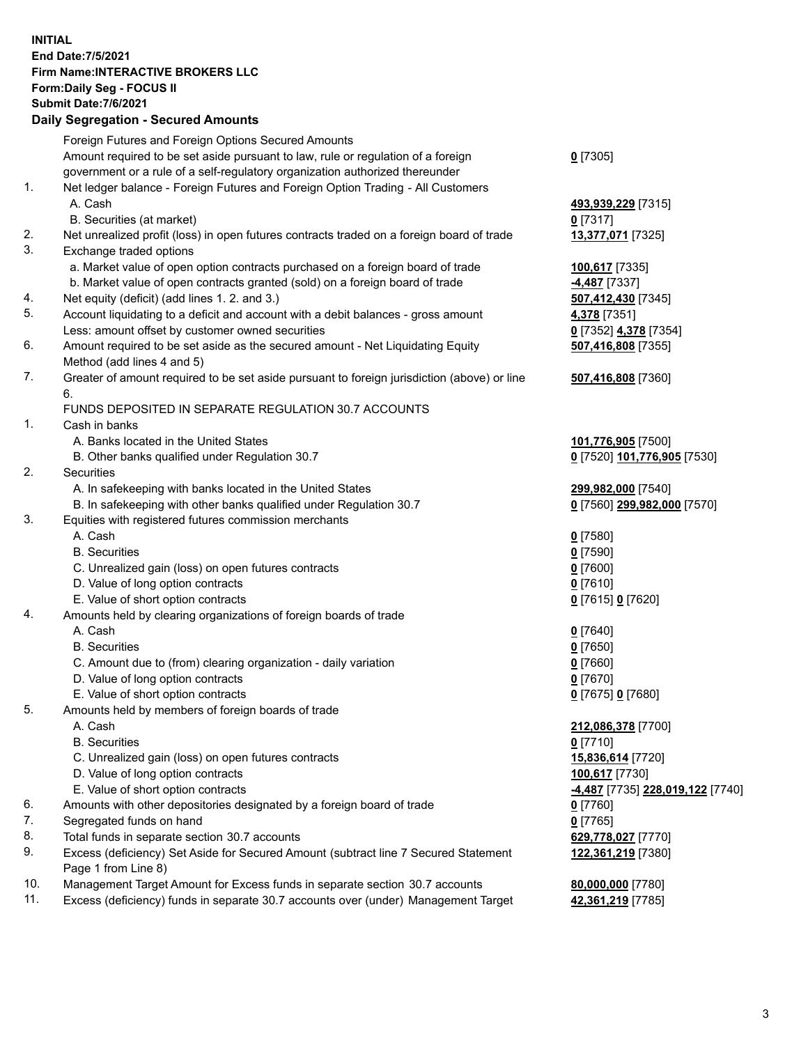## **INITIAL End Date:7/5/2021 Firm Name:INTERACTIVE BROKERS LLC Form:Daily Seg - FOCUS II Submit Date:7/6/2021 Daily Segregation - Secured Amounts**

|                | Dany Ocgregation - Occarea Anioants                                                                        |                                 |
|----------------|------------------------------------------------------------------------------------------------------------|---------------------------------|
|                | Foreign Futures and Foreign Options Secured Amounts                                                        |                                 |
|                | Amount required to be set aside pursuant to law, rule or regulation of a foreign                           | $0$ [7305]                      |
|                | government or a rule of a self-regulatory organization authorized thereunder                               |                                 |
| 1.             | Net ledger balance - Foreign Futures and Foreign Option Trading - All Customers                            |                                 |
|                | A. Cash                                                                                                    | 493,939,229 [7315]              |
|                | B. Securities (at market)                                                                                  | $0$ [7317]                      |
| 2.             | Net unrealized profit (loss) in open futures contracts traded on a foreign board of trade                  | 13,377,071 [7325]               |
| 3.             | Exchange traded options                                                                                    |                                 |
|                | a. Market value of open option contracts purchased on a foreign board of trade                             | 100,617 [7335]                  |
|                | b. Market value of open contracts granted (sold) on a foreign board of trade                               | 4,487 <sup>[7337]</sup>         |
| 4.             | Net equity (deficit) (add lines 1. 2. and 3.)                                                              | 507,412,430 [7345]              |
| 5.             | Account liquidating to a deficit and account with a debit balances - gross amount                          | 4,378 [7351]                    |
|                | Less: amount offset by customer owned securities                                                           | 0 [7352] 4,378 [7354]           |
| 6.             | Amount required to be set aside as the secured amount - Net Liquidating Equity                             | 507,416,808 [7355]              |
|                | Method (add lines 4 and 5)                                                                                 |                                 |
| 7.             | Greater of amount required to be set aside pursuant to foreign jurisdiction (above) or line                | 507,416,808 [7360]              |
|                | 6.                                                                                                         |                                 |
|                | FUNDS DEPOSITED IN SEPARATE REGULATION 30.7 ACCOUNTS                                                       |                                 |
| $\mathbf{1}$ . | Cash in banks                                                                                              |                                 |
|                | A. Banks located in the United States                                                                      | 101,776,905 [7500]              |
|                | B. Other banks qualified under Regulation 30.7                                                             | 0 [7520] 101,776,905 [7530]     |
| 2.             | Securities                                                                                                 |                                 |
|                | A. In safekeeping with banks located in the United States                                                  | 299,982,000 [7540]              |
|                | B. In safekeeping with other banks qualified under Regulation 30.7                                         | 0 [7560] 299,982,000 [7570]     |
| 3.             | Equities with registered futures commission merchants                                                      |                                 |
|                | A. Cash                                                                                                    | $0$ [7580]                      |
|                | <b>B.</b> Securities                                                                                       | $0$ [7590]                      |
|                | C. Unrealized gain (loss) on open futures contracts                                                        | $0$ [7600]                      |
|                | D. Value of long option contracts                                                                          | $0$ [7610]                      |
|                | E. Value of short option contracts                                                                         | 0 [7615] 0 [7620]               |
| 4.             | Amounts held by clearing organizations of foreign boards of trade                                          |                                 |
|                | A. Cash                                                                                                    | $0$ [7640]                      |
|                | <b>B.</b> Securities                                                                                       | $0$ [7650]                      |
|                | C. Amount due to (from) clearing organization - daily variation                                            | $0$ [7660]                      |
|                | D. Value of long option contracts                                                                          | $0$ [7670]                      |
|                | E. Value of short option contracts                                                                         | 0 [7675] 0 [7680]               |
| 5.             | Amounts held by members of foreign boards of trade                                                         |                                 |
|                | A. Cash                                                                                                    | 212,086,378 [7700]              |
|                | <b>B.</b> Securities                                                                                       | $0$ [7710]                      |
|                | C. Unrealized gain (loss) on open futures contracts                                                        | 15,836,614 [7720]               |
|                | D. Value of long option contracts                                                                          | 100,617 [7730]                  |
|                | E. Value of short option contracts                                                                         | 4,487 [7735] 228,019,122 [7740] |
| 6.             | Amounts with other depositories designated by a foreign board of trade                                     | 0 [7760]                        |
| 7.             | Segregated funds on hand                                                                                   | $0$ [7765]                      |
| 8.             | Total funds in separate section 30.7 accounts                                                              | 629,778,027 [7770]              |
| 9.             | Excess (deficiency) Set Aside for Secured Amount (subtract line 7 Secured Statement<br>Page 1 from Line 8) | 122,361,219 [7380]              |
| 10.            | Management Target Amount for Excess funds in separate section 30.7 accounts                                | 80,000,000 [7780]               |
| 11.            | Excess (deficiency) funds in separate 30.7 accounts over (under) Management Target                         | 42,361,219 [7785]               |
|                |                                                                                                            |                                 |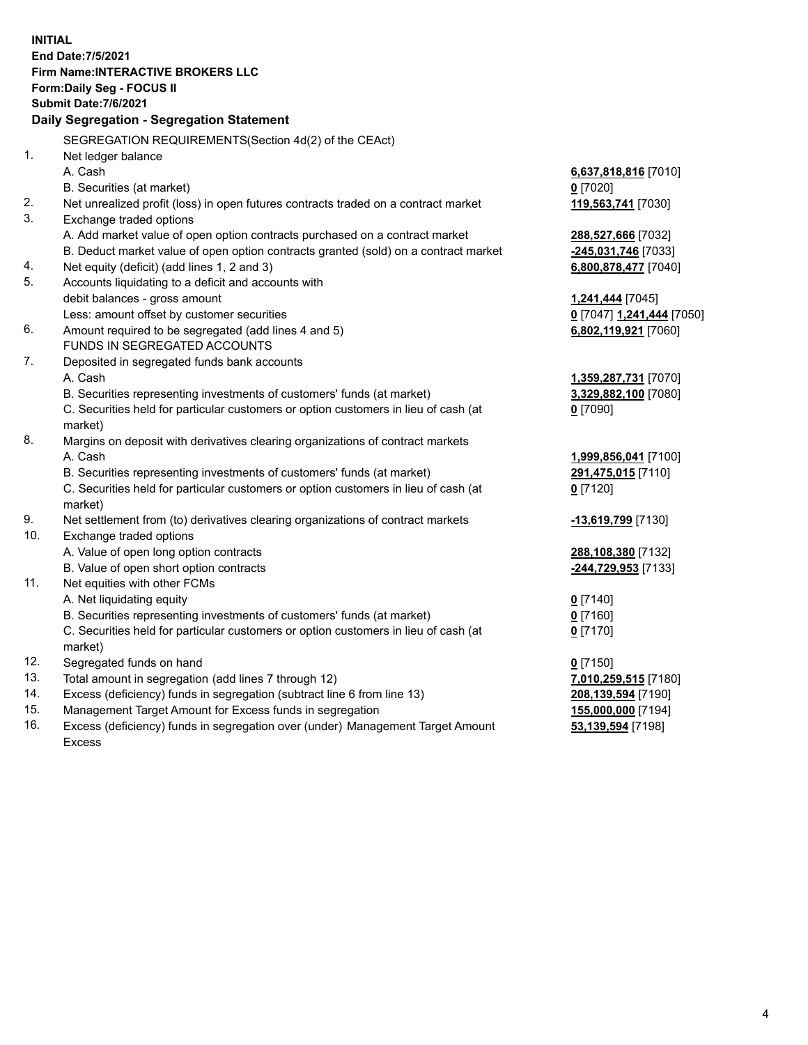**INITIAL End Date:7/5/2021 Firm Name:INTERACTIVE BROKERS LLC Form:Daily Seg - FOCUS II Submit Date:7/6/2021 Daily Segregation - Segregation Statement** SEGREGATION REQUIREMENTS(Section 4d(2) of the CEAct) 1. Net ledger balance A. Cash **6,637,818,816** [7010] B. Securities (at market) **0** [7020] 2. Net unrealized profit (loss) in open futures contracts traded on a contract market **119,563,741** [7030] 3. Exchange traded options A. Add market value of open option contracts purchased on a contract market **288,527,666** [7032] B. Deduct market value of open option contracts granted (sold) on a contract market **-245,031,746** [7033] 4. Net equity (deficit) (add lines 1, 2 and 3) **6,800,878,477** [7040] 5. Accounts liquidating to a deficit and accounts with debit balances - gross amount **1,241,444** [7045] Less: amount offset by customer securities **0** [7047] **1,241,444** [7050] 6. Amount required to be segregated (add lines 4 and 5) **6,802,119,921** [7060] FUNDS IN SEGREGATED ACCOUNTS 7. Deposited in segregated funds bank accounts A. Cash **1,359,287,731** [7070] B. Securities representing investments of customers' funds (at market) **3,329,882,100** [7080] C. Securities held for particular customers or option customers in lieu of cash (at market) **0** [7090] 8. Margins on deposit with derivatives clearing organizations of contract markets A. Cash **1,999,856,041** [7100] B. Securities representing investments of customers' funds (at market) **291,475,015** [7110] C. Securities held for particular customers or option customers in lieu of cash (at market) **0** [7120] 9. Net settlement from (to) derivatives clearing organizations of contract markets **-13,619,799** [7130] 10. Exchange traded options A. Value of open long option contracts **288,108,380** [7132] B. Value of open short option contracts **-244,729,953** [7133] 11. Net equities with other FCMs A. Net liquidating equity **0** [7140] B. Securities representing investments of customers' funds (at market) **0** [7160] C. Securities held for particular customers or option customers in lieu of cash (at market) **0** [7170] 12. Segregated funds on hand **0** [7150] 13. Total amount in segregation (add lines 7 through 12) **7,010,259,515** [7180] 14. Excess (deficiency) funds in segregation (subtract line 6 from line 13) **208,139,594** [7190] 15. Management Target Amount for Excess funds in segregation **155,000,000** [7194] 16. Excess (deficiency) funds in segregation over (under) Management Target Amount **53,139,594** [7198]

Excess